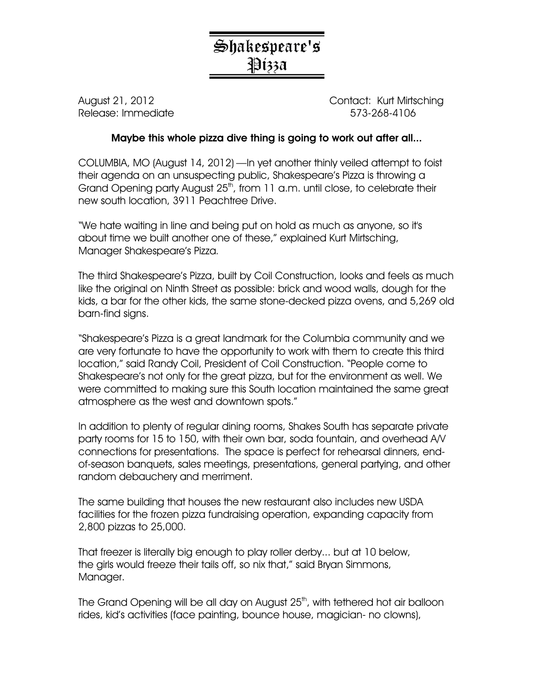## Shakespeare's Pizza

Release: Immediate 573-268-4106

August 21, 2012 Contact: Kurt Mirtsching

## Maybe this whole pizza dive thing is going to work out after all...

COLUMBIA, MO (August 14, 2012) —In yet another thinly veiled attempt to foist their agenda on an unsuspecting public, Shakespeare's Pizza is throwing a Grand Opening party August  $25<sup>th</sup>$ , from 11 a.m. until close, to celebrate their new south location, 3911 Peachtree Drive.

"We hate waiting in line and being put on hold as much as anyone, so it's about time we built another one of these," explained Kurt Mirtsching, Manager Shakespeare's Pizza.

The third Shakespeare's Pizza, built by Coil Construction, looks and feels as much like the original on Ninth Street as possible: brick and wood walls, dough for the kids, a bar for the other kids, the same stone-decked pizza ovens, and 5,269 old barn-find signs.

"Shakespeare's Pizza is a great landmark for the Columbia community and we are very fortunate to have the opportunity to work with them to create this third location," said Randy Coil, President of Coil Construction. "People come to Shakespeare's not only for the great pizza, but for the environment as well. We were committed to making sure this South location maintained the same great atmosphere as the west and downtown spots."

In addition to plenty of regular dining rooms, Shakes South has separate private party rooms for 15 to 150, with their own bar, soda fountain, and overhead A/V connections for presentations. The space is perfect for rehearsal dinners, endof-season banquets, sales meetings, presentations, general partying, and other random debauchery and merriment.

The same building that houses the new restaurant also includes new USDA facilities for the frozen pizza fundraising operation, expanding capacity from 2,800 pizzas to 25,000.

That freezer is literally big enough to play roller derby... but at 10 below, the girls would freeze their tails off, so nix that," said Bryan Simmons, Manager.

The Grand Opening will be all day on August 25<sup>th</sup>, with tethered hot air balloon rides, kid's activities (face painting, bounce house, magician- no clowns),